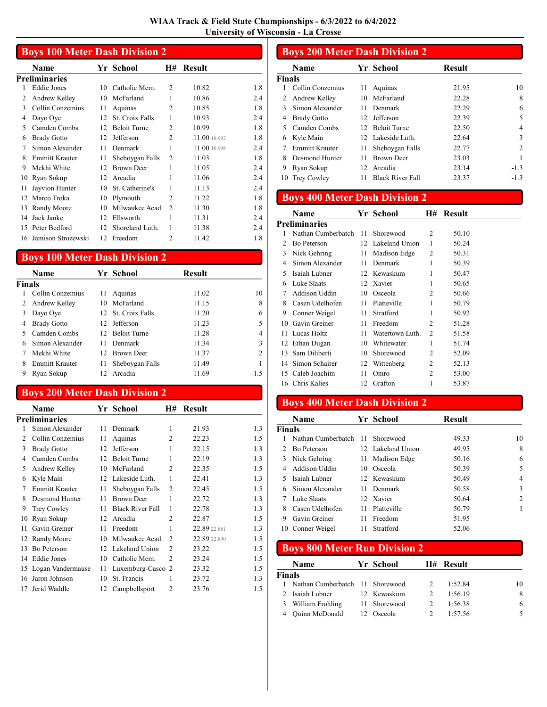|                | <b>Boys 100 Meter Dash Division 2</b> |    |                     |                |               |     |  |
|----------------|---------------------------------------|----|---------------------|----------------|---------------|-----|--|
|                | Name                                  |    | Yr School           | H#             | <b>Result</b> |     |  |
|                | Preliminaries                         |    |                     |                |               |     |  |
| 1              | <b>Eddie Jones</b>                    | 10 | Catholic Mem.       | $\overline{c}$ | 10.82         | 1.8 |  |
| $\mathfrak{D}$ | Andrew Kelley                         | 10 | McFarland           | 1              | 10.86         | 2.4 |  |
| $\mathcal{E}$  | Collin Conzemius                      | 11 | Aquinas             | $\mathfrak{D}$ | 10.85         | 1.8 |  |
| 4              | Dayo Oye                              | 12 | St. Croix Falls     | 1              | 10.93         | 2.4 |  |
| 5              | Camden Combs                          | 12 | <b>Beloit Turne</b> | 2              | 10.99         | 1.8 |  |
| 6              | <b>Brady Gotto</b>                    | 12 | Jefferson           | $\mathfrak{D}$ | 11.00 10.992  | 1.8 |  |
| 7              | Simon Alexander                       | 11 | Denmark             | 1              | 11.00 10.998  | 2.4 |  |
| 8              | <b>Emmitt Krauter</b>                 | 11 | Sheboygan Falls     | $\overline{2}$ | 11.03         | 1.8 |  |
| 9              | Mekhi White                           | 12 | <b>Brown Deer</b>   | 1              | 11.05         | 2.4 |  |
| 10             | Ryan Sokup                            | 12 | Arcadia             | 1              | 11.06         | 2.4 |  |
| 11             | Jayvion Hunter                        | 10 | St. Catherine's     | 1              | 11.13         | 2.4 |  |
| 12             | Marco Troka                           | 10 | Plymouth            | $\mathfrak{D}$ | 11.22         | 1.8 |  |
| 13             | Randy Moore                           | 10 | Milwaukee Acad.     | $\mathfrak{D}$ | 11.30         | 1.8 |  |
| 14             | Jack Janke                            | 12 | Ellsworth           | 1              | 11.31         | 2.4 |  |
| 15             | Peter Bedford                         | 12 | Shoreland Luth.     | 1              | 11.38         | 2.4 |  |
| 16             | Jamison Strozewski                    | 12 | Freedom             | 2              | 11.42         | 1.8 |  |

# Boys 100 Meter Dash Division 2

|               | Name               |     | Yr School           | <b>Result</b> |        |
|---------------|--------------------|-----|---------------------|---------------|--------|
| <b>Finals</b> |                    |     |                     |               |        |
|               | Collin Conzemius   | 11  | Aquinas             | 11.02         | 10     |
|               | Andrew Kelley      | 10  | McFarland           | 11.15         | 8      |
|               | Dayo Oye           |     | 12. St. Croix Falls | 11.20         | 6      |
| 4             | <b>Brady Gotto</b> | 12. | Jefferson           | 11.23         | 5      |
|               | Camden Combs       |     | 12 Beloit Turne     | 11.28         | 4      |
| 6             | Simon Alexander    | 11  | Denmark             | 11.34         | 3      |
|               | Mekhi White        | 12. | <b>Brown Deer</b>   | 11.37         | 2      |
| 8             | Emmitt Krauter     | 11  | Sheboygan Falls     | 11.49         |        |
| 9             | Ryan Sokup         | 12  | Arcadia             | 11.69         | $-1.5$ |

### Boys 200 Meter Dash Division 2

|                | Name                  |    | Yr School               | Н#             | <b>Result</b> |     |
|----------------|-----------------------|----|-------------------------|----------------|---------------|-----|
|                | <b>Preliminaries</b>  |    |                         |                |               |     |
| 1              | Simon Alexander       | 11 | Denmark                 | 1              | 21.93         | 1.3 |
| $\overline{c}$ | Collin Conzemius      | 11 | Aquinas                 | 2              | 22.23         | 1.5 |
| 3              | <b>Brady Gotto</b>    | 12 | Jefferson               | 1              | 22.15         | 1.3 |
| 4              | Camden Combs          | 12 | <b>Beloit Turne</b>     | 1              | 22.19         | 1.3 |
| 5              | Andrew Kelley         | 10 | McFarland               | 2              | 22.35         | 1.5 |
| 6              | Kyle Main             | 12 | Lakeside Luth.          | 1              | 22.41         | 1.3 |
| 7              | <b>Emmitt Krauter</b> | 11 | Sheboygan Falls         | $\overline{2}$ | 22.45         | 1.5 |
| 8              | Desmond Hunter        | 11 | <b>Brown Deer</b>       | 1              | 22.72         | 1.3 |
| 9              | Trey Cowley           | 11 | <b>Black River Fall</b> | 1              | 22.78         | 1.3 |
| 10             | Ryan Sokup            | 12 | Arcadia                 | 2              | 22.87         | 1.5 |
| 11             | Gavin Greiner         | 11 | Freedom                 | 1              | 22.89 22.881  | 1.3 |
| 12             | Randy Moore           | 10 | Milwaukee Acad.         | 2              | 22.89 22.890  | 1.5 |
| 13             | Bo Peterson           | 12 | Lakeland Union          | $\overline{c}$ | 23.22         | 1.5 |
|                | 14 Eddie Jones        | 10 | Catholic Mem.           | 2              | 23.24         | 1.5 |
|                | 15 Logan Vandermause  | 11 | Luxemburg-Casco 2       |                | 23.32         | 1.5 |
| 16             | Jaron Johnson         | 10 | St. Francis             |                | 23.72         | 1.3 |
| 17             | Jerid Waddle          | 12 | Campbellsport           | 2              | 23.76         | 1.5 |

#### Boys 200 Meter Dash Division 2 Name Yr School Result Finals 1 10 10 10 Collin Conzemius 11 Aquinas 21.95 2 Andrew Kelley 10 McFarland 22.28 8 3 6 Simon Alexander 11 Denmark 22.29 4 Brady Gotto 12 Jefferson 22.39 5 5 Camden Combs 12 Beloit Turne 22.50 4 6 3 Kyle Main 12 Lakeside Luth. 22.64 7 Emmitt Krauter 11 Sheboygan Falls 22.77 2 8 Desmond Hunter 11 Brown Deer 23.03 1 9 Ryan Sokup 12 Arcadia 23.14 -1.3 10 Trey Cowley 11 Black River Fall 23.37 -1.3

### Boys 400 Meter Dash Division 2

| Name                 |    |                 | Н#                                                                                  | Result |  |
|----------------------|----|-----------------|-------------------------------------------------------------------------------------|--------|--|
| <b>Preliminaries</b> |    |                 |                                                                                     |        |  |
|                      |    | Shorewood       | $\mathcal{L}$                                                                       | 50.10  |  |
| Bo Peterson          |    |                 | 1                                                                                   | 50.24  |  |
| Nick Gehring         | 11 | Madison Edge    | 2                                                                                   | 50.31  |  |
| Simon Alexander      | 11 | Denmark         | 1                                                                                   | 50.39  |  |
| Isaiah Lubner        |    |                 | 1                                                                                   | 50.47  |  |
| Luke Slaats          |    |                 | 1                                                                                   | 50.65  |  |
| <b>Addison Uddin</b> | 10 | Osceola         | 2                                                                                   | 50.66  |  |
| Casen Udelhofen      | 11 | Platteville     | 1                                                                                   | 50.79  |  |
| Conner Weigel        | 11 | Stratford       | 1                                                                                   | 50.92  |  |
| Gavin Greiner        | 11 | Freedom         | 2                                                                                   | 51.28  |  |
| Lucas Holtz          | 11 | Watertown Luth. | 2                                                                                   | 51.58  |  |
| 12 Ethan Dugan       | 10 | Whitewater      | 1                                                                                   | 51.74  |  |
| Sam Diliberti        | 10 | Shorewood       | 2                                                                                   | 52.09  |  |
| Simon Schairer       | 12 | Wittenberg      | 2                                                                                   | 52.13  |  |
| Caleb Joachim<br>15  | 11 | Omro            | 2                                                                                   | 53.00  |  |
| 16 Chris Kalies      | 12 | Grafton         |                                                                                     | 53.87  |  |
|                      |    |                 | Yr School<br>Nathan Cumberbatch 11<br>12 Lakeland Union<br>12 Kewaskum<br>12 Xavier |        |  |

# Boys 400 Meter Dash Division 2

|        | <b>Name</b>                     |    | Yr School         | <b>Result</b> |                |
|--------|---------------------------------|----|-------------------|---------------|----------------|
| Finals |                                 |    |                   |               |                |
|        | Nathan Cumberbatch 11 Shorewood |    |                   | 49.33         | 10             |
| 2      | Bo Peterson                     |    | 12 Lakeland Union | 49.95         | 8              |
| 3      | Nick Gehring                    |    | 11 Madison Edge   | 50.16         | 6              |
|        | Addison Uddin                   |    | 10 Osceola        | 50.39         | 5              |
|        | Isaiah Lubner                   |    | 12. Kewaskum      | 50.49         | 4              |
| 6      | Simon Alexander                 |    | 11 Denmark        | 50.58         | 3              |
|        | Luke Slaats                     |    | 12 Xavier         | 50.64         | $\overline{c}$ |
| 8      | Casen Udelhofen                 | 11 | Platteville       | 50.79         |                |
| 9      | Gavin Greiner                   | 11 | Freedom           | 51.95         |                |
|        | 10 Conner Weigel                | 11 | Stratford         | 52.06         |                |

|        | <b>Boys 800 Meter Run Division 2</b> |  |              |  |           |    |  |  |
|--------|--------------------------------------|--|--------------|--|-----------|----|--|--|
|        | <b>Name</b>                          |  | Yr School    |  | H# Result |    |  |  |
| Finals |                                      |  |              |  |           |    |  |  |
|        | Nathan Cumberbatch 11 Shorewood      |  |              |  | 1:52.84   | 10 |  |  |
|        | Isaiah Lubner                        |  | 12 Kewaskum  |  | 1:56.19   | 8  |  |  |
|        | William Frohling                     |  | 11 Shorewood |  | 1:56.38   | 6  |  |  |
|        | <b>Ouinn McDonald</b>                |  | 12 Osceola   |  | 1:57.56   |    |  |  |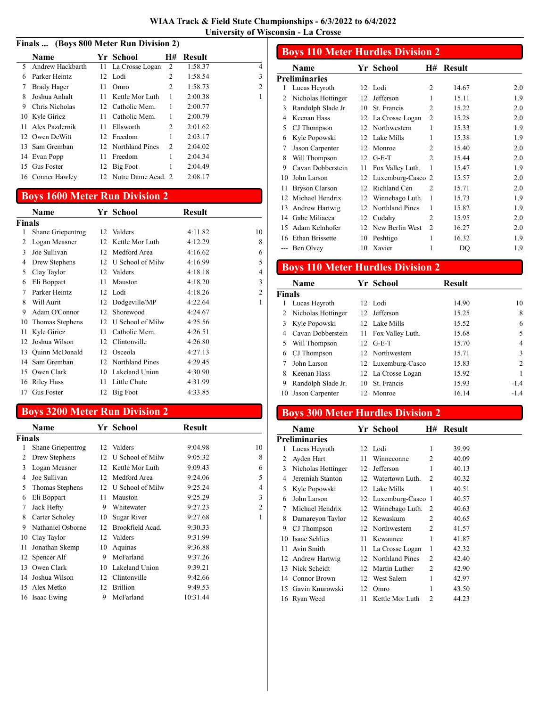#### Finals ... (Boys 800 Meter Run Division 2)

|     | <b>Name</b>       |    | Yr School             | H#             | Result  |                |
|-----|-------------------|----|-----------------------|----------------|---------|----------------|
| 5.  | Andrew Hackbarth  | 11 | La Crosse Logan       | 2              | 1:58.37 | 4              |
| 6   | Parker Heintz     |    | 12 Lodi               | 2              | 1:58.54 | 3              |
| 7   | Brady Hager       | 11 | Omro                  | 2              | 1:58.73 | $\overline{c}$ |
| 8   | Joshua Anhalt     | 11 | Kettle Mor Luth       | 1              | 2:00.38 | 1              |
| 9   | Chris Nicholas    |    | 12 Catholic Mem.      | 1              | 2:00.77 |                |
|     | 10 Kyle Giricz    | 11 | Catholic Mem.         | 1              | 2:00.79 |                |
|     | 11 Alex Pazdernik | 11 | Ellsworth             | 2              | 2:01.62 |                |
|     | 12 Owen DeWitt    |    | 12 Freedom            | 1              | 2:03.17 |                |
| 13. | Sam Gremban       |    | 12 Northland Pines    | $\overline{c}$ | 2:04.02 |                |
|     | 14 Evan Popp      | 11 | Freedom               | 1              | 2:04.34 |                |
| 15  | <b>Gus Foster</b> | 12 | Big Foot              | 1              | 2:04.49 |                |
|     | 16 Conner Hawley  |    | 12 Notre Dame Acad. 2 |                | 2:08.17 |                |
|     |                   |    |                       |                |         |                |

### Boys 1600 Meter Run Division 2

|                | Name              |    | Yr School          | Result  |                |
|----------------|-------------------|----|--------------------|---------|----------------|
| Finals         |                   |    |                    |         |                |
| 1              | Shane Griepentrog |    | 12 Valders         | 4:11.82 | 10             |
| $\overline{c}$ | Logan Measner     | 12 | Kettle Mor Luth    | 4:12.29 | 8              |
| 3              | Joe Sullivan      | 12 | Medford Area       | 4:16.62 | 6              |
| 4              | Drew Stephens     | 12 | U School of Milw   | 4:16.99 | 5              |
| 5              | Clay Taylor       | 12 | Valders            | 4:18.18 | 4              |
| 6              | Eli Boppart       | 11 | Mauston            | 4:18.20 | 3              |
| 7              | Parker Heintz     |    | 12 Lodi            | 4:18.26 | $\overline{2}$ |
| 8              | Will Aurit        | 12 | Dodgeville/MP      | 4:22.64 | 1              |
| 9              | Adam O'Connor     | 12 | Shorewood          | 4:24.67 |                |
| 10             | Thomas Stephens   | 12 | U School of Milw   | 4:25.56 |                |
| 11             | Kyle Giricz       | 11 | Catholic Mem.      | 4:26.51 |                |
| 12             | Joshua Wilson     | 12 | Clintonville       | 4:26.80 |                |
| 13             | Quinn McDonald    | 12 | Osceola            | 4:27.13 |                |
|                | 14 Sam Gremban    |    | 12 Northland Pines | 4:29.45 |                |
|                | 15 Owen Clark     | 10 | Lakeland Union     | 4:30.90 |                |
|                | 16 Riley Huss     | 11 | Little Chute       | 4:31.99 |                |
|                | 17 Gus Foster     | 12 | <b>Big Foot</b>    | 4:33.85 |                |

### Boys 3200 Meter Run Division 2

|        | Name              |    | Yr School           | <b>Result</b> |                |
|--------|-------------------|----|---------------------|---------------|----------------|
| Finals |                   |    |                     |               |                |
| 1      | Shane Griepentrog |    | 12 Valders          | 9:04.98       | 10             |
| 2      | Drew Stephens     |    | 12 U School of Milw | 9:05.32       | 8              |
| 3      | Logan Measner     |    | 12 Kettle Mor Luth  | 9:09.43       | 6              |
| 4      | Joe Sullivan      | 12 | Medford Area        | 9:24.06       | 5              |
| 5      | Thomas Stephens   | 12 | U School of Milw    | 9:25.24       | 4              |
| 6      | Eli Boppart       | 11 | Mauston             | 9:25.29       | 3              |
| 7      | Jack Hefty        | 9  | Whitewater          | 9:27.23       | $\overline{2}$ |
| 8      | Carter Scholey    | 10 | Sugar River         | 9:27.68       | 1              |
| 9      | Nathaniel Osborne | 12 | Brookfield Acad.    | 9:30.33       |                |
| 10     | Clay Taylor       | 12 | Valders             | 9:31.99       |                |
| 11     | Jonathan Skemp    | 10 | Aquinas             | 9:36.88       |                |
| 12     | Spencer Alf       | 9  | McFarland           | 9:37.26       |                |
| 13     | Owen Clark        | 10 | Lakeland Union      | 9:39.21       |                |
| 14     | Joshua Wilson     | 12 | Clintonville        | 9:42.66       |                |
| 15     | Alex Metko        | 12 | <b>Brillion</b>     | 9:49.53       |                |
|        | 16 Isaac Ewing    | 9  | McFarland           | 10:31.44      |                |

|    | <b>Boys 110 Meter Hurdles Division 2</b> |    |                   |                |        |     |
|----|------------------------------------------|----|-------------------|----------------|--------|-----|
|    | Name                                     |    | Yr School         | Н#             | Result |     |
|    | <b>Preliminaries</b>                     |    |                   |                |        |     |
| 1  | Lucas Heyroth                            | 12 | Lodi              | $\overline{c}$ | 14.67  | 2.0 |
| 2  | Nicholas Hottinger                       | 12 | Jefferson         | 1              | 15.11  | 1.9 |
| 3  | Randolph Slade Jr.                       | 10 | St. Francis       | $\overline{c}$ | 15.22  | 2.0 |
| 4  | Keenan Hass                              | 12 | La Crosse Logan   | 2              | 15.28  | 2.0 |
| 5  | CJ Thompson                              | 12 | Northwestern      | 1              | 15.33  | 1.9 |
| 6  | Kyle Popowski                            | 12 | Lake Mills        | 1              | 15.38  | 1.9 |
| 7  | Jason Carpenter                          | 12 | Monroe            | $\mathfrak{D}$ | 15.40  | 2.0 |
| 8  | Will Thompson                            | 12 | $G-E-T$           | $\mathfrak{D}$ | 15.44  | 2.0 |
| 9  | Cavan Dobberstein                        | 11 | Fox Valley Luth.  | 1              | 15.47  | 1.9 |
| 10 | John Larson                              | 12 | Luxemburg-Casco 2 |                | 15.57  | 2.0 |
| 11 | <b>Bryson Clarson</b>                    | 12 | Richland Cen      | $\mathfrak{D}$ | 15.71  | 2.0 |
| 12 | Michael Hendrix                          | 12 | Winnebago Luth.   | 1              | 15.73  | 1.9 |
| 13 | Andrew Hartwig                           | 12 | Northland Pines   | 1              | 15.82  | 1.9 |
| 14 | Gabe Miliacca                            | 12 | Cudahy            | $\overline{2}$ | 15.95  | 2.0 |
| 15 | Adam Kelnhofer                           | 12 | New Berlin West   | 2              | 16.27  | 2.0 |
|    | 16 Ethan Brissette                       | 10 | Peshtigo          |                | 16.32  | 1.9 |

# Boys 110 Meter Hurdles Division 2

|        | Name               |    | Yr School           | <b>Result</b> |        |
|--------|--------------------|----|---------------------|---------------|--------|
| Finals |                    |    |                     |               |        |
|        | Lucas Heyroth      |    | 12 Lodi             | 14.90         | 10     |
| 2      | Nicholas Hottinger |    | 12 Jefferson        | 15.25         | 8      |
| 3      | Kyle Popowski      |    | 12 Lake Mills       | 15.52         | 6      |
| 4      | Cavan Dobberstein  |    | 11 Fox Valley Luth. | 15.68         | 5      |
| 5      | Will Thompson      |    | $12$ G-E-T          | 15.70         | 4      |
| 6      | CJ Thompson        |    | 12 Northwestern     | 15.71         | 3      |
|        | John Larson        |    | 12 Luxemburg-Casco  | 15.83         | 2      |
| 8      | Keenan Hass        |    | 12 La Crosse Logan  | 15.92         |        |
| 9      | Randolph Slade Jr. | 10 | St. Francis         | 15.93         | $-1.4$ |
| 10     | Jason Carpenter    |    | 12 Monroe           | 16.14         | $-1.4$ |

--- Ben Olvey 10 Xavier 1 DQ 1.9

### Boys 300 Meter Hurdles Division 2

|    | Name                 |                 | Yr School            | H#             | Result |
|----|----------------------|-----------------|----------------------|----------------|--------|
|    | <b>Preliminaries</b> |                 |                      |                |        |
|    | Lucas Heyroth        |                 | 12 Lodi              | 1              | 39.99  |
| 2  | Ayden Hart           | 11              | Winneconne           | 2              | 40.09  |
| 3  | Nicholas Hottinger   | 12              | Jefferson            |                | 40.13  |
| 4  | Jeremiah Stanton     |                 | 12 Watertown Luth.   | $\mathcal{L}$  | 40.32  |
| 5  | Kyle Popowski        |                 | 12 Lake Mills        |                | 40.51  |
| 6  | John Larson          |                 | 12 Luxemburg-Casco 1 |                | 40.57  |
| 7  | Michael Hendrix      | 12              | Winnebago Luth. 2    |                | 40.63  |
| 8  | Damareyon Taylor     | 12              | Kewaskum             | 2              | 40.65  |
| 9  | CJ Thompson          | 12 <sup>2</sup> | Northwestern         | $\overline{c}$ | 41.57  |
| 10 | Isaac Schlies        | 11              | Kewaunee             | 1              | 41.87  |
| 11 | Avin Smith           | 11              | La Crosse Logan      | 1              | 42.32  |
|    | 12 Andrew Hartwig    | 12              | Northland Pines      | $\overline{c}$ | 42.40  |
| 13 | Nick Scheidt         | 12              | Martin Luther        | $\overline{c}$ | 42.90  |
|    | 14 Connor Brown      | 12              | West Salem           | 1              | 42.97  |
|    | 15 Gavin Knurowski   | 12              | Omro                 | 1              | 43.50  |
|    | 16 Ryan Weed         | 11              | Kettle Mor Luth      | $\mathfrak{D}$ | 44.23  |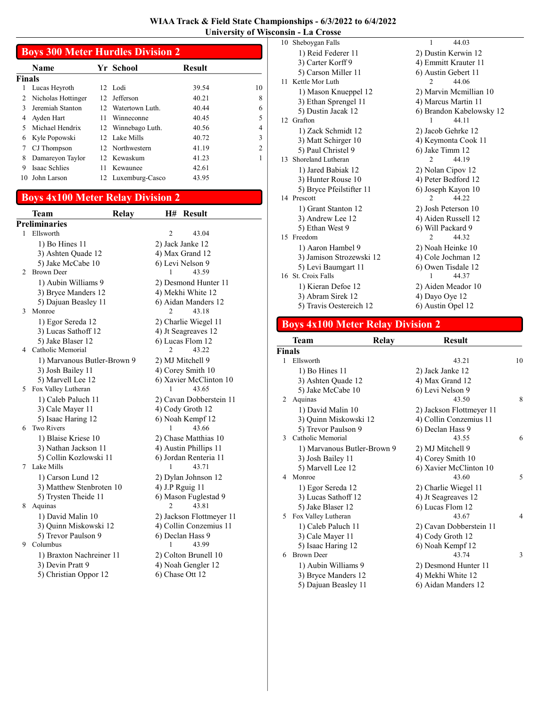|        | <b>Boys 300 Meter Hurdles Division 2</b> |                  |                    |               |                |  |
|--------|------------------------------------------|------------------|--------------------|---------------|----------------|--|
|        | <b>Name</b>                              |                  | Yr School          | <b>Result</b> |                |  |
| Finals |                                          |                  |                    |               |                |  |
|        | Lucas Heyroth                            |                  | 12 Lodi            | 39.54         | 10             |  |
| 2      | Nicholas Hottinger                       | 12 <sup>12</sup> | Jefferson          | 40.21         | 8              |  |
| 3      | Jeremiah Stanton                         |                  | 12 Watertown Luth. | 40.44         | 6              |  |
| 4      | Ayden Hart                               | 11               | Winneconne         | 40.45         | 5              |  |
| 5      | Michael Hendrix                          |                  | 12 Winnebago Luth. | 40.56         | 4              |  |
| 6      | Kyle Popowski                            |                  | 12 Lake Mills      | 40.72         | 3              |  |
|        | CJ Thompson                              |                  | 12 Northwestern    | 41.19         | $\mathfrak{D}$ |  |
| 8      | Damareyon Taylor                         |                  | 12 Kewaskum        | 41.23         |                |  |
| 9      | <b>Isaac Schlies</b>                     | 11               | Kewaunee           | 42.61         |                |  |
| 10     | John Larson                              | 12               | Luxemburg-Casco    | 43.95         |                |  |

# Boys 4x100 Meter Relay Division 2

|   | Team                        | <b>H#</b><br><b>Result</b><br>Relay |
|---|-----------------------------|-------------------------------------|
|   | <b>Preliminaries</b>        |                                     |
| 1 | Ellsworth                   | $\overline{c}$<br>43.04             |
|   | 1) Bo Hines 11              | 2) Jack Janke 12                    |
|   | 3) Ashten Quade 12          | 4) Max Grand 12                     |
|   | 5) Jake McCabe 10           | 6) Levi Nelson 9                    |
| 2 | <b>Brown Deer</b>           | 43.59<br>1                          |
|   | 1) Aubin Williams 9         | 2) Desmond Hunter 11                |
|   | 3) Bryce Manders 12         | 4) Mekhi White 12                   |
|   | 5) Dajuan Beasley 11        | 6) Aidan Manders 12                 |
| 3 | Monroe                      | 2<br>43.18                          |
|   | 1) Egor Sereda 12           | 2) Charlie Wiegel 11                |
|   | 3) Lucas Sathoff 12         | 4) Jt Seagreaves 12                 |
|   | 5) Jake Blaser 12           | 6) Lucas Flom 12                    |
| 4 | Catholic Memorial           | $\overline{c}$<br>43.22             |
|   | 1) Marvanous Butler-Brown 9 | 2) MJ Mitchell 9                    |
|   | 3) Josh Bailey 11           | 4) Corey Smith 10                   |
|   | 5) Marvell Lee 12           | 6) Xavier McClinton 10              |
| 5 | Fox Valley Lutheran         | 1<br>43.65                          |
|   | 1) Caleb Paluch 11          | 2) Cavan Dobberstein 11             |
|   | 3) Cale Mayer 11            | 4) Cody Groth 12                    |
|   | 5) Isaac Haring 12          | 6) Noah Kempf 12                    |
| 6 | <b>Two Rivers</b>           | 43.66<br>1                          |
|   | 1) Blaise Kriese 10         | 2) Chase Matthias 10                |
|   | 3) Nathan Jackson 11        | 4) Austin Phillips 11               |
|   | 5) Collin Kozlowski 11      | 6) Jordan Renteria 11               |
| 7 | Lake Mills                  | 43.71<br>1                          |
|   | 1) Carson Lund 12           | 2) Dylan Johnson 12                 |
|   | 3) Matthew Stenbroten 10    | 4) J.P Rguig 11                     |
|   | 5) Trysten Theide 11        | 6) Mason Fuglestad 9                |
| 8 | Aquinas                     | 2<br>43.81                          |
|   | 1) David Malin 10           | 2) Jackson Flottmeyer 11            |
|   | 3) Quinn Miskowski 12       | 4) Collin Conzemius 11              |
|   | 5) Trevor Paulson 9         | 6) Declan Hass 9                    |
| 9 | Columbus                    | 1<br>43.99                          |
|   | 1) Braxton Nachreiner 11    | 2) Colton Brunell 10                |
|   | 3) Devin Pratt 9            | 4) Noah Gengler 12                  |
|   | 5) Christian Oppor 12       | 6) Chase Ott 12                     |

| 10 Sheboygan Falls        | 1<br>44.03               |
|---------------------------|--------------------------|
| 1) Reid Federer 11        | 2) Dustin Kerwin 12      |
| 3) Carter Korff 9         | 4) Emmitt Krauter 11     |
| 5) Carson Miller 11       | 6) Austin Gebert 11      |
| 11 Kettle Mor Luth        | 44.06<br>$\mathfrak{D}$  |
| 1) Mason Knueppel 12      | 2) Marvin Memillian 10   |
| 3) Ethan Sprengel 11      | 4) Marcus Martin 11      |
| 5) Dustin Jacak 12        | 6) Brandon Kabelowsky 12 |
| 12 Grafton                | 44.11<br>1               |
| 1) Zack Schmidt 12        | 2) Jacob Gehrke 12       |
| 3) Matt Schirger 10       | 4) Keymonta Cook 11      |
| 5) Paul Christel 9        | 6) Jake Timm 12          |
| Shoreland Lutheran<br>13. | 44.19<br>2               |
| 1) Jared Babiak 12        | 2) Nolan Cipov 12        |
| 3) Hunter Rouse 10        | 4) Peter Bedford 12      |
| 5) Bryce Pfeilstifter 11  | 6) Joseph Kayon 10       |
| 14 Prescott               | 44.22<br>$\overline{2}$  |
| 1) Grant Stanton 12       | 2) Josh Peterson 10      |
| 3) Andrew Lee 12          | 4) Aiden Russell 12      |
| 5) Ethan West 9           | 6) Will Packard 9        |
| 15 Freedom                | 44.32<br>$\mathfrak{D}$  |
| 1) Aaron Hambel 9         | 2) Noah Heinke 10        |
| 3) Jamison Strozewski 12  | 4) Cole Jochman 12       |
| 5) Levi Baumgart 11       | 6) Owen Tisdale 12       |
| 16 St. Croix Falls        | 44.37<br>1               |
| 1) Kieran Defoe 12        | 2) Aiden Meador 10       |
| 3) Abram Sirek 12         | 4) Dayo Oye 12           |
| 5) Travis Oestereich 12   | 6) Austin Opel 12        |

# Boys 4x100 Meter Relay Division 2

|                             | Team                        | <b>Relay</b> | <b>Result</b>            |                |
|-----------------------------|-----------------------------|--------------|--------------------------|----------------|
| <b>Finals</b>               |                             |              |                          |                |
| $\mathbf{1}$                | Ellsworth                   |              | 43.21                    | 10             |
|                             | 1) Bo Hines 11              |              | 2) Jack Janke 12         |                |
|                             | 3) Ashten Quade 12          |              | 4) Max Grand 12          |                |
|                             | 5) Jake McCabe 10           |              | 6) Levi Nelson 9         |                |
| $\mathcal{D}_{\mathcal{L}}$ | Aquinas                     |              | 43.50                    | 8              |
|                             | 1) David Malin 10           |              | 2) Jackson Flottmeyer 11 |                |
|                             | 3) Quinn Miskowski 12       |              | 4) Collin Conzemius 11   |                |
|                             | 5) Trevor Paulson 9         |              | 6) Declan Hass 9         |                |
| $\mathcal{E}$               | Catholic Memorial           |              | 43.55                    | 6              |
|                             | 1) Marvanous Butler-Brown 9 |              | 2) MJ Mitchell 9         |                |
|                             | 3) Josh Bailey 11           |              | 4) Corey Smith 10        |                |
|                             | 5) Marvell Lee 12           |              | 6) Xavier McClinton 10   |                |
| 4                           | Monroe                      |              | 43.60                    | 5              |
|                             | 1) Egor Sereda 12           |              | 2) Charlie Wiegel 11     |                |
|                             | 3) Lucas Sathoff 12         |              | 4) Jt Seagreaves 12      |                |
|                             | 5) Jake Blaser 12           |              | 6) Lucas Flom 12         |                |
| 5                           | Fox Valley Lutheran         |              | 43.67                    | $\overline{4}$ |
|                             | 1) Caleb Paluch 11          |              | 2) Cavan Dobberstein 11  |                |
|                             | 3) Cale Mayer 11            |              | 4) Cody Groth 12         |                |
|                             | 5) Isaac Haring 12          |              | 6) Noah Kempf 12         |                |
| 6                           | <b>Brown Deer</b>           |              | 43.74                    | 3              |
|                             | 1) Aubin Williams 9         |              | 2) Desmond Hunter 11     |                |
|                             | 3) Bryce Manders 12         |              | 4) Mekhi White 12        |                |
|                             | 5) Dajuan Beasley 11        |              | 6) Aidan Manders 12      |                |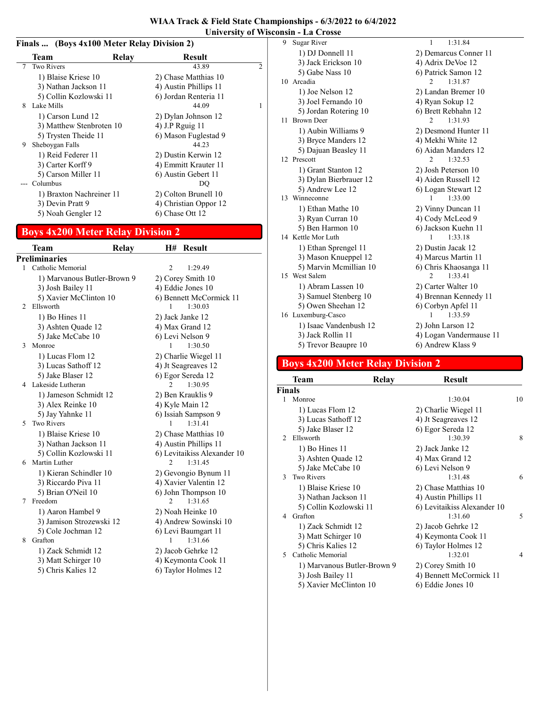| WIAA Track & Field State Championships - 6/3/2022 to 6/4/2022 |  |
|---------------------------------------------------------------|--|
| University of Wisconsin - La Crosse                           |  |

#### Finals ... (Boys 4x100 Meter Relay Division 2)

|   | Team                     | Relay | <b>Result</b>         |                             |
|---|--------------------------|-------|-----------------------|-----------------------------|
| 7 | <b>Two Rivers</b>        |       | 43.89                 | $\mathcal{D}_{\mathcal{L}}$ |
|   | 1) Blaise Kriese 10      |       | 2) Chase Matthias 10  |                             |
|   | 3) Nathan Jackson 11     |       | 4) Austin Phillips 11 |                             |
|   | 5) Collin Kozlowski 11   |       | 6) Jordan Renteria 11 |                             |
| 8 | Lake Mills               |       | 44.09                 | 1                           |
|   | 1) Carson Lund 12        |       | 2) Dylan Johnson 12   |                             |
|   | 3) Matthew Stenbroten 10 |       | 4) J.P Rguig 11       |                             |
|   | 5) Trysten Theide 11     |       | 6) Mason Fuglestad 9  |                             |
| 9 | Sheboygan Falls          |       | 44.23                 |                             |
|   | 1) Reid Federer 11       |       | 2) Dustin Kerwin 12   |                             |
|   | 3) Carter Korff 9        |       | 4) Emmitt Krauter 11  |                             |
|   | 5) Carson Miller 11      |       | 6) Austin Gebert 11   |                             |
|   | Columbus                 |       | DO                    |                             |
|   | 1) Braxton Nachreiner 11 |       | 2) Colton Brunell 10  |                             |
|   | 3) Devin Pratt 9         |       | 4) Christian Oppor 12 |                             |
|   | 5) Noah Gengler 12       |       | 6) Chase Ott 12       |                             |
|   |                          |       |                       |                             |

# Boys 4x200 Meter Relay Division 2

|                | <b>Team</b>                 | <b>Relay</b>   | H# Result                   |
|----------------|-----------------------------|----------------|-----------------------------|
|                | <b>Preliminaries</b>        |                |                             |
| 1              | Catholic Memorial           | $\overline{c}$ | 1:29.49                     |
|                | 1) Marvanous Butler-Brown 9 |                | 2) Corey Smith 10           |
|                | 3) Josh Bailey 11           |                | 4) Eddie Jones 10           |
|                | 5) Xavier McClinton 10      |                | 6) Bennett McCormick 11     |
| $\mathfrak{D}$ | Ellsworth                   | 1              | 1:30.03                     |
|                | 1) Bo Hines 11              |                | 2) Jack Janke 12            |
|                | 3) Ashten Quade 12          |                | 4) Max Grand 12             |
|                | 5) Jake McCabe 10           |                | 6) Levi Nelson 9            |
| 3              | Monroe                      | 1              | 1:30.50                     |
|                | 1) Lucas Flom 12            |                | 2) Charlie Wiegel 11        |
|                | 3) Lucas Sathoff 12         |                | 4) Jt Seagreaves 12         |
|                | 5) Jake Blaser 12           |                | 6) Egor Sereda 12           |
| 4              | Lakeside Lutheran           | 2              | 1:30.95                     |
|                | 1) Jameson Schmidt 12       |                | 2) Ben Krauklis 9           |
|                | 3) Alex Reinke 10           |                | 4) Kyle Main 12             |
|                | 5) Jay Yahnke 11            |                | 6) Issiah Sampson 9         |
| 5.             | <b>Two Rivers</b>           | 1              | 1:31.41                     |
|                | 1) Blaise Kriese 10         |                | 2) Chase Matthias 10        |
|                | 3) Nathan Jackson 11        |                | 4) Austin Phillips 11       |
|                | 5) Collin Kozlowski 11      |                | 6) Levitaikiss Alexander 10 |
| 6              | Martin Luther               | $\overline{2}$ | 1:31.45                     |
|                | 1) Kieran Schindler 10      |                | 2) Gevongio Bynum 11        |
|                | 3) Riccardo Piva 11         |                | 4) Xavier Valentin 12       |
|                | 5) Brian O'Neil 10          |                | 6) John Thompson 10         |
| 7              | Freedom                     | 2              | 1:31.65                     |
|                | 1) Aaron Hambel 9           |                | 2) Noah Heinke 10           |
|                | 3) Jamison Strozewski 12    |                | 4) Andrew Sowinski 10       |
|                | 5) Cole Jochman 12          |                | 6) Levi Baumgart 11         |
| 8              | Grafton                     | 1              | 1:31.66                     |
|                | 1) Zack Schmidt 12          |                | 2) Jacob Gehrke 12          |
|                | 3) Matt Schirger 10         |                | 4) Keymonta Cook 11         |
|                | 5) Chris Kalies 12          |                | 6) Taylor Holmes 12         |
|                |                             |                |                             |

| 9 | Sugar River            | 1:31.84<br>1              |
|---|------------------------|---------------------------|
|   | 1) DJ Donnell 11       | 2) Demarcus Conner 11     |
|   | 3) Jack Erickson 10    | 4) Adrix DeVoe 12         |
|   | 5) Gabe Nass 10        | 6) Patrick Samon 12       |
|   | 10 Arcadia             | $\mathfrak{D}$<br>1:31.87 |
|   | 1) Joe Nelson 12       | 2) Landan Bremer 10       |
|   | 3) Joel Fernando 10    | 4) Ryan Sokup 12          |
|   | 5) Jordan Rotering 10  | 6) Brett Rebhahn 12       |
|   | 11 Brown Deer          | 1:31.93<br>2              |
|   | 1) Aubin Williams 9    | 2) Desmond Hunter 11      |
|   | 3) Bryce Manders 12    | 4) Mekhi White 12         |
|   | 5) Dajuan Beasley 11   | 6) Aidan Manders 12       |
|   | 12 Prescott            | 1:32.53<br>2              |
|   | 1) Grant Stanton 12    | 2) Josh Peterson 10       |
|   | 3) Dylan Bierbrauer 12 | 4) Aiden Russell 12       |
|   | 5) Andrew Lee 12       | 6) Logan Stewart 12       |
|   | 13 Winneconne          | 1:33.00<br>1              |
|   | 1) Ethan Mathe 10      | 2) Vinny Duncan 11        |
|   | 3) Ryan Curran 10      | 4) Cody McLeod 9          |
|   | 5) Ben Harmon 10       | 6) Jackson Kuehn 11       |
|   | 14 Kettle Mor Luth     | 1:33.18<br>1              |
|   | 1) Ethan Sprengel 11   | 2) Dustin Jacak 12        |
|   | 3) Mason Knueppel 12   | 4) Marcus Martin 11       |
|   | 5) Marvin Mcmillian 10 | 6) Chris Khaosanga 11     |
|   | 15 West Salem          | 1:33.41<br>2              |
|   | 1) Abram Lassen 10     | 2) Carter Walter 10       |
|   | 3) Samuel Stenberg 10  | 4) Brennan Kennedy 11     |
|   | 5) Owen Sheehan 12     | 6) Corbyn Apfel 11        |
|   | 16 Luxemburg-Casco     | 1:33.59<br>1              |
|   | 1) Isaac Vandenbush 12 | 2) John Larson 12         |
|   | 3) Jack Rollin 11      | 4) Logan Vandermause 11   |
|   | 5) Trevor Beaupre 10   | 6) Andrew Klass 9         |

# Boys 4x200 Meter Relay Division 2

| Team                   |        | <b>Result</b>                                                         |    |
|------------------------|--------|-----------------------------------------------------------------------|----|
|                        |        |                                                                       |    |
| Monroe                 |        | 1:30.04                                                               | 10 |
| 1) Lucas Flom 12       |        | 2) Charlie Wiegel 11                                                  |    |
| 3) Lucas Sathoff 12    |        | 4) Jt Seagreaves 12                                                   |    |
| 5) Jake Blaser 12      |        | 6) Egor Sereda 12                                                     |    |
| Ellsworth              |        | 1:30.39                                                               | 8  |
| 1) Bo Hines 11         |        | 2) Jack Janke 12                                                      |    |
| 3) Ashten Quade 12     |        | 4) Max Grand 12                                                       |    |
| 5) Jake McCabe 10      |        | 6) Levi Nelson 9                                                      |    |
| <b>Two Rivers</b>      |        | 1:31.48                                                               | 6  |
| 1) Blaise Kriese 10    |        | 2) Chase Matthias 10                                                  |    |
| 3) Nathan Jackson 11   |        | 4) Austin Phillips 11                                                 |    |
| 5) Collin Kozlowski 11 |        | 6) Levitaikiss Alexander 10                                           |    |
| Grafton                |        | 1:31.60                                                               | 5  |
| 1) Zack Schmidt 12     |        | 2) Jacob Gehrke 12                                                    |    |
| 3) Matt Schirger 10    |        | 4) Keymonta Cook 11                                                   |    |
| 5) Chris Kalies 12     |        | 6) Taylor Holmes 12                                                   |    |
| Catholic Memorial      |        | 1:32.01                                                               | 4  |
|                        |        | 2) Corey Smith 10                                                     |    |
| 3) Josh Bailey 11      |        | 4) Bennett McCormick 11                                               |    |
|                        |        | 6) Eddie Jones 10                                                     |    |
|                        | Finals | <b>Relay</b><br>1) Marvanous Butler-Brown 9<br>5) Xavier McClinton 10 |    |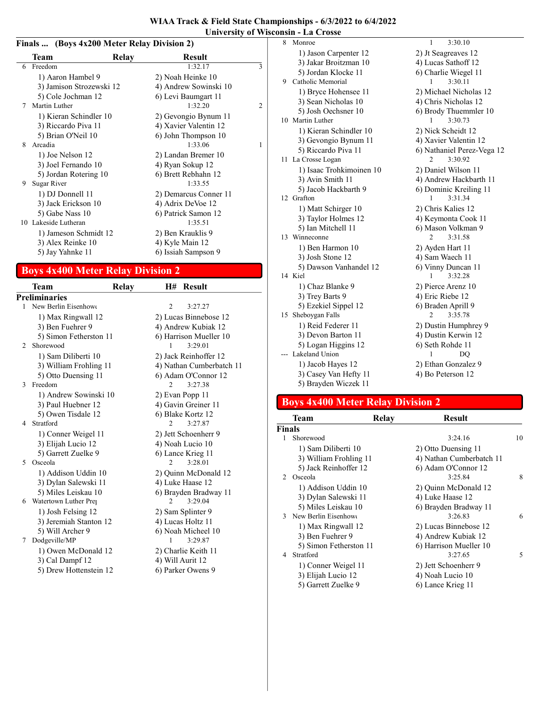#### Finals ... (Boys 4x200 Meter Relay Division 2)

|   | Team                     | Relay | <b>Result</b>         |   |
|---|--------------------------|-------|-----------------------|---|
| 6 | Freedom                  |       | 1:32.17               | 3 |
|   | 1) Aaron Hambel 9        |       | 2) Noah Heinke 10     |   |
|   | 3) Jamison Strozewski 12 |       | 4) Andrew Sowinski 10 |   |
|   | 5) Cole Jochman 12       |       | 6) Levi Baumgart 11   |   |
| 7 | Martin Luther            |       | 1:32.20               | 2 |
|   | 1) Kieran Schindler 10   |       | 2) Gevongio Bynum 11  |   |
|   | 3) Riccardo Piva 11      |       | 4) Xavier Valentin 12 |   |
|   | 5) Brian O'Neil 10       |       | 6) John Thompson 10   |   |
| 8 | Arcadia                  |       | 1:33.06               | 1 |
|   | 1) Joe Nelson 12         |       | 2) Landan Bremer 10   |   |
|   | 3) Joel Fernando 10      |       | 4) Ryan Sokup 12      |   |
|   | 5) Jordan Rotering 10    |       | 6) Brett Rebhahn 12   |   |
| 9 | Sugar River              |       | 1:33.55               |   |
|   | 1) DJ Donnell 11         |       | 2) Demarcus Conner 11 |   |
|   | 3) Jack Erickson 10      |       | 4) Adrix DeVoe 12     |   |
|   | 5) Gabe Nass 10          |       | 6) Patrick Samon 12   |   |
|   | 10 Lakeside Lutheran     |       | 1:35.51               |   |
|   | 1) Jameson Schmidt 12    |       | 2) Ben Krauklis 9     |   |
|   | 3) Alex Reinke 10        |       | 4) Kyle Main 12       |   |
|   | 5) Jay Yahnke 11         |       | 6) Issiah Sampson 9   |   |
|   |                          |       |                       |   |

#### Boys 4x400 Meter Relay Division 2

Team Relay H# Result Preliminaries 1 New Berlin Eisenhower 2 3:27.27 1) Max Ringwall 12 2) Lucas Binnebose 12 3) Ben Fuehrer 9 4) Andrew Kubiak 12 5) Simon Fetherston 11 6) Harrison Mueller 10 2 3:29.01 Shorewood 1 1) Sam Diliberti 10 2) Jack Reinhoffer 12 3) William Frohling 11 4) Nathan Cumberbatch 11 5) Otto Duensing 11 6) Adam O'Connor 12 3 3:27.38 Freedom 2 1) Andrew Sowinski 10 2) Evan Popp 11 3) Paul Huebner 12 4) Gavin Greiner 11 5) Owen Tisdale 12 6) Blake Kortz 12 4 3:27.87 Stratford 2 1) Conner Weigel 11 2) Jett Schoenherr 9 3) Elijah Lucio 12 4) Noah Lucio 10 5) Garrett Zuelke 9 6) Lance Krieg 11 5 Osceola 1) Addison Uddin 10 2) Quinn McDonald 12 3) Dylan Salewski 11 4) Luke Haase 12 5) Miles Leiskau 10 6) Brayden Bradway 11 6 Watertown Luther Prej 2 3:29.04 1) Josh Felsing 12 2) Sam Splinter 9 3) Jeremiah Stanton 12 4) Lucas Holtz 11 5) Will Archer 9 6) Noah Micheel 10<br>  $\frac{1}{3:29.87}$ 7 Dodgeville/MP 1 1) Owen McDonald 12 2) Charlie Keith 11 3) Cal Dampf 12 4) Will Aurit 12 5) Drew Hottenstein 12 6) Parker Owens 9

|    | 1) Jason Carpenter 12    | 2) Jt Seagreaves 12        |
|----|--------------------------|----------------------------|
|    | 3) Jakar Broitzman 10    | 4) Lucas Sathoff 12        |
|    | 5) Jordan Klocke 11      | 6) Charlie Wiegel 11       |
| 9  | Catholic Memorial        | 3:30.11<br>1               |
|    | 1) Bryce Hohensee 11     | 2) Michael Nicholas 12     |
|    | 3) Sean Nicholas 10      | 4) Chris Nicholas 12       |
|    | 5) Josh Oechsner 10      | 6) Brody Thuemmler 10      |
|    | 10 Martin Luther         | 3:30.73<br>1               |
|    | 1) Kieran Schindler 10   | 2) Nick Scheidt 12         |
|    | 3) Gevongio Bynum 11     | 4) Xavier Valentin 12      |
|    | 5) Riccardo Piva 11      | 6) Nathaniel Perez-Vega 12 |
| 11 | La Crosse Logan          | 3:30.92<br>2               |
|    | 1) Isaac Trohkimoinen 10 | 2) Daniel Wilson 11        |
|    | 3) Avin Smith 11         | 4) Andrew Hackbarth 11     |
|    | 5) Jacob Hackbarth 9     | 6) Dominic Kreiling 11     |
|    | 12 Grafton               | 3:31.34<br>1               |
|    | 1) Matt Schirger 10      | 2) Chris Kalies 12         |
|    | 3) Taylor Holmes 12      | 4) Keymonta Cook 11        |
|    | 5) Ian Mitchell 11       | 6) Mason Volkman 9         |
|    | 13 Winneconne            | 3:31.58<br>2               |
|    | 1) Ben Harmon 10         | 2) Ayden Hart 11           |
|    | 3) Josh Stone 12         | 4) Sam Waech 11            |
|    | 5) Dawson Vanhandel 12   | 6) Vinny Duncan 11         |
|    | 14 Kiel                  | 3:32.28<br>1               |
|    | 1) Chaz Blanke 9         | 2) Pierce Arenz 10         |
|    | 3) Trey Barts 9          | 4) Eric Riebe 12           |
|    | 5) Ezekiel Sippel 12     | 6) Braden Aprill 9         |
|    | 15 Sheboygan Falls       | 3:35.78<br>2               |
|    | 1) Reid Federer 11       | 2) Dustin Humphrey 9       |
|    | 3) Devon Barton 11       | 4) Dustin Kerwin 12        |
|    | 5) Logan Higgins 12      | 6) Seth Rohde 11           |
|    | --- Lakeland Union       | 1<br>DO                    |
|    | 1) Jacob Hayes 12        | 2) Ethan Gonzalez 9        |
|    | 3) Casey Van Hefty 11    | 4) Bo Peterson 12          |
|    | 5) Brayden Wiczek 11     |                            |

8 Monroe 1 3:30.10

#### Boys 4x400 Meter Relay Division 2

|               | <b>Team</b>            | Relay | Result                   |    |
|---------------|------------------------|-------|--------------------------|----|
| <b>Finals</b> |                        |       |                          |    |
|               | Shorewood              |       | 3:24.16                  | 10 |
|               | 1) Sam Diliberti 10    |       | 2) Otto Duensing 11      |    |
|               | 3) William Frohling 11 |       | 4) Nathan Cumberbatch 11 |    |
|               | 5) Jack Reinhoffer 12  |       | 6) Adam O'Connor 12      |    |
| $\mathcal{D}$ | Osceola                |       | 3:25.84                  | 8  |
|               | 1) Addison Uddin 10    |       | 2) Quinn McDonald 12     |    |
|               | 3) Dylan Salewski 11   |       | 4) Luke Haase 12         |    |
|               | 5) Miles Leiskau 10    |       | 6) Brayden Bradway 11    |    |
|               | 3 New Berlin Eisenhowe |       | 3:26.83                  | 6  |
|               | 1) Max Ringwall 12     |       | 2) Lucas Binnebose 12    |    |
|               | 3) Ben Fuehrer 9       |       | 4) Andrew Kubiak 12      |    |
|               | 5) Simon Fetherston 11 |       | 6) Harrison Mueller 10   |    |
| 4             | Stratford              |       | 3:27.65                  | 5  |
|               | 1) Conner Weigel 11    |       | 2) Jett Schoenherr 9     |    |
|               | 3) Elijah Lucio 12     |       | 4) Noah Lucio 10         |    |
|               | 5) Garrett Zuelke 9    |       | 6) Lance Krieg 11        |    |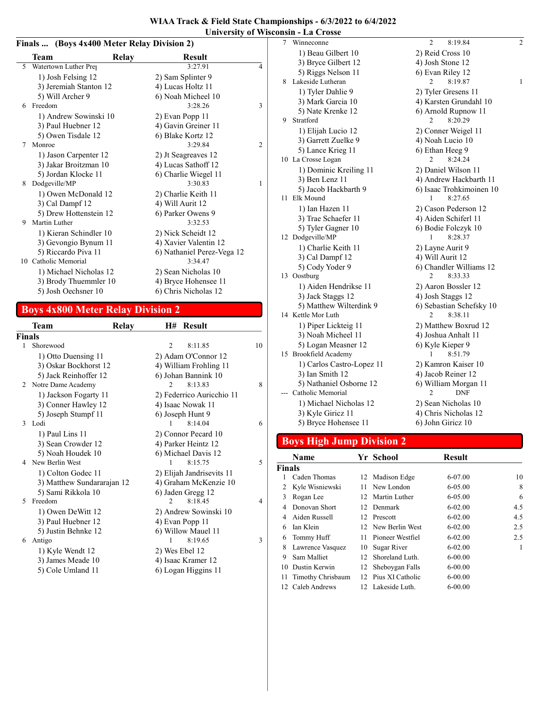|   | Finals  (Boys 4x400 Meter Relay Division 2) |                            |                |  |  |  |  |  |
|---|---------------------------------------------|----------------------------|----------------|--|--|--|--|--|
|   | Team                                        | <b>Result</b><br>Relay     |                |  |  |  |  |  |
| 5 | Watertown Luther Prej                       | 3:27.91                    | $\overline{4}$ |  |  |  |  |  |
|   | 1) Josh Felsing 12                          | 2) Sam Splinter 9          |                |  |  |  |  |  |
|   | 3) Jeremiah Stanton 12                      | 4) Lucas Holtz 11          |                |  |  |  |  |  |
|   | 5) Will Archer 9                            | 6) Noah Micheel 10         |                |  |  |  |  |  |
| 6 | Freedom                                     | 3:28.26                    | $\overline{3}$ |  |  |  |  |  |
|   | 1) Andrew Sowinski 10                       | 2) Evan Popp 11            |                |  |  |  |  |  |
|   | 3) Paul Huebner 12                          | 4) Gavin Greiner 11        |                |  |  |  |  |  |
|   | 5) Owen Tisdale 12                          | 6) Blake Kortz 12          |                |  |  |  |  |  |
| 7 | Monroe                                      | 3:29.84                    | 2              |  |  |  |  |  |
|   | 1) Jason Carpenter 12                       | 2) Jt Seagreaves 12        |                |  |  |  |  |  |
|   | 3) Jakar Broitzman 10                       | 4) Lucas Sathoff 12        |                |  |  |  |  |  |
|   | 5) Jordan Klocke 11                         | 6) Charlie Wiegel 11       |                |  |  |  |  |  |
| 8 | Dodgeville/MP                               | 3:30.83                    | 1              |  |  |  |  |  |
|   | 1) Owen McDonald 12                         | 2) Charlie Keith 11        |                |  |  |  |  |  |
|   | 3) Cal Dampf 12                             | 4) Will Aurit 12           |                |  |  |  |  |  |
|   | 5) Drew Hottenstein 12                      | 6) Parker Owens 9          |                |  |  |  |  |  |
| 9 | Martin Luther                               | 3:32.53                    |                |  |  |  |  |  |
|   | 1) Kieran Schindler 10                      | 2) Nick Scheidt 12         |                |  |  |  |  |  |
|   | 3) Gevongio Bynum 11                        | 4) Xavier Valentin 12      |                |  |  |  |  |  |
|   | 5) Riccardo Piva 11                         | 6) Nathaniel Perez-Vega 12 |                |  |  |  |  |  |
|   | 10 Catholic Memorial                        | 3:34.47                    |                |  |  |  |  |  |
|   | 1) Michael Nicholas 12                      | 2) Sean Nicholas 10        |                |  |  |  |  |  |
|   | 3) Brody Thuemmler 10                       | 4) Bryce Hohensee 11       |                |  |  |  |  |  |
|   | 5) Josh Oechsner 10                         | 6) Chris Nicholas 12       |                |  |  |  |  |  |

# Boys 4x800 Meter Relay Division 2

|              | Team                       | Relay | H#             | <b>Result</b>             |    |
|--------------|----------------------------|-------|----------------|---------------------------|----|
| Finals       |                            |       |                |                           |    |
| $\mathbf{1}$ | Shorewood                  |       | 2              | 8:11.85                   | 10 |
|              | 1) Otto Duensing 11        |       |                | 2) Adam O'Connor 12       |    |
|              | 3) Oskar Bockhorst 12      |       |                | 4) William Frohling 11    |    |
|              | 5) Jack Reinhoffer 12      |       |                | 6) Johan Bannink 10       |    |
| 2            | Notre Dame Academy         |       |                | 8:13.83                   | 8  |
|              | 1) Jackson Fogarty 11      |       |                | 2) Federrico Auricchio 11 |    |
|              | 3) Conner Hawley 12        |       |                | 4) Isaac Nowak 11         |    |
|              | 5) Joseph Stumpf 11        |       |                | 6) Joseph Hunt 9          |    |
| 3            | Lodi                       |       | 1              | 8:14.04                   | 6  |
|              | 1) Paul Lins 11            |       |                | 2) Connor Pecard 10       |    |
|              | 3) Sean Crowder 12         |       |                | 4) Parker Heintz 12       |    |
|              | 5) Noah Houdek 10          |       |                | 6) Michael Davis 12       |    |
| 4            | New Berlin West            |       | 1              | 8:15.75                   | 5  |
|              | 1) Colton Godec 11         |       |                | 2) Elijah Jandrisevits 11 |    |
|              | 3) Matthew Sundararajan 12 |       |                | 4) Graham McKenzie 10     |    |
|              | 5) Sami Rikkola 10         |       |                | 6) Jaden Gregg 12         |    |
| 5            | Freedom                    |       | $\mathfrak{D}$ | 8:18.45                   | 4  |
|              | 1) Owen DeWitt 12          |       |                | 2) Andrew Sowinski 10     |    |
|              | 3) Paul Huebner 12         |       |                | 4) Evan Popp 11           |    |
|              | 5) Justin Behnke 12        |       |                | 6) Willow Mauel 11        |    |
| 6            | Antigo                     |       | 1              | 8:19.65                   | 3  |
|              | 1) Kyle Wendt 12           |       | 2) Wes Ebel 12 |                           |    |
|              | 3) James Meade 10          |       |                | 4) Isaac Kramer 12        |    |
|              | 5) Cole Umland 11          |       |                | 6) Logan Higgins 11       |    |

| 7 | Winneconne                | $\overline{2}$<br>8:19.84 | $\overline{c}$ |
|---|---------------------------|---------------------------|----------------|
|   | 1) Beau Gilbert 10        | 2) Reid Cross 10          |                |
|   | 3) Bryce Gilbert 12       | 4) Josh Stone 12          |                |
|   | 5) Riggs Nelson 11        | 6) Evan Riley 12          |                |
| 8 | Lakeside Lutheran         | 2<br>8:19.87              | $\mathbf{1}$   |
|   | 1) Tyler Dahlie 9         | 2) Tyler Gresens 11       |                |
|   | 3) Mark Garcia 10         | 4) Karsten Grundahl 10    |                |
|   | 5) Nate Krenke 12         | 6) Arnold Rupnow 11       |                |
| 9 | Stratford                 | 8:20.29<br>2              |                |
|   | 1) Elijah Lucio 12        | 2) Conner Weigel 11       |                |
|   | 3) Garrett Zuelke 9       | 4) Noah Lucio 10          |                |
|   | 5) Lance Krieg 11         | 6) Ethan Heeg 9           |                |
|   | 10 La Crosse Logan        | 2<br>8:24.24              |                |
|   | 1) Dominic Kreiling 11    | 2) Daniel Wilson 11       |                |
|   | 3) Ben Lenz 11            | 4) Andrew Hackbarth 11    |                |
|   | 5) Jacob Hackbarth 9      | 6) Isaac Trohkimoinen 10  |                |
|   | 11 Elk Mound              | 8:27.65<br>1              |                |
|   | 1) Ian Hazen 11           | 2) Cason Pederson 12      |                |
|   | 3) Trae Schaefer 11       | 4) Aiden Schiferl 11      |                |
|   | 5) Tyler Gagner 10        | 6) Bodie Folczyk 10       |                |
|   | 12 Dodgeville/MP          | 1<br>8:28.37              |                |
|   | 1) Charlie Keith 11       | 2) Layne Aurit 9          |                |
|   | 3) Cal Dampf 12           | 4) Will Aurit 12          |                |
|   | 5) Cody Yoder 9           | 6) Chandler Williams 12   |                |
|   | 13 Oostburg               | 2<br>8:33.33              |                |
|   | 1) Aiden Hendrikse 11     | 2) Aaron Bossler 12       |                |
|   | 3) Jack Staggs 12         | 4) Josh Staggs 12         |                |
|   | 5) Matthew Wilterdink 9   | 6) Sebastian Schefsky 10  |                |
|   | 14 Kettle Mor Luth        | 8:38.11<br>2              |                |
|   | 1) Piper Lickteig 11      | 2) Matthew Boxrud 12      |                |
|   | 3) Noah Micheel 11        | 4) Joshua Anhalt 11       |                |
|   | 5) Logan Measner 12       | 6) Kyle Kieper 9          |                |
|   | 15 Brookfield Academy     | 8:51.79<br>1              |                |
|   | 1) Carlos Castro-Lopez 11 | 2) Kamron Kaiser 10       |                |
|   | 3) Ian Smith 12           | 4) Jacob Reiner 12        |                |
|   | 5) Nathaniel Osborne 12   | 6) William Morgan 11      |                |
|   | --- Catholic Memorial     | 2<br><b>DNF</b>           |                |
|   | 1) Michael Nicholas 12    | 2) Sean Nicholas 10       |                |
|   | 3) Kyle Giricz 11         | 4) Chris Nicholas 12      |                |
|   | 5) Bryce Hohensee 11      | 6) John Giricz 10         |                |

# Boys High Jump Division 2

|               | Name              |     | Yr School          | <b>Result</b> |     |
|---------------|-------------------|-----|--------------------|---------------|-----|
| <b>Finals</b> |                   |     |                    |               |     |
|               | Caden Thomas      |     | 12 Madison Edge    | 6-07.00       | 10  |
| 2             | Kyle Wisniewski   |     | 11 New London      | $6 - 05.00$   | 8   |
| 3             | Rogan Lee         | 12  | Martin Luther      | $6 - 05.00$   | 6   |
| 4             | Donovan Short     |     | 12 Denmark         | $6-02.00$     | 4.5 |
| 4             | Aiden Russell     | 12. | Prescott           | $6-02.00$     | 4.5 |
| 6             | Ian Klein         |     | 12 New Berlin West | $6-02.00$     | 2.5 |
| 6             | Tommy Huff        | 11. | Pioneer Westfiel   | $6-02.00$     | 2.5 |
| 8             | Lawrence Vasquez  | 10- | Sugar River        | $6 - 02.00$   | 1   |
| 9             | Sam Malliet       | 12. | Shoreland Luth.    | $6 - 00.00$   |     |
| 10            | Dustin Kerwin     | 12  | Sheboygan Falls    | $6 - 00.00$   |     |
| 11            | Timothy Chrisbaum | 12  | Pius XI Catholic   | $6-00.00$     |     |
|               | 12 Caleb Andrews  |     | 12 Lakeside Luth.  | $6 - 00.00$   |     |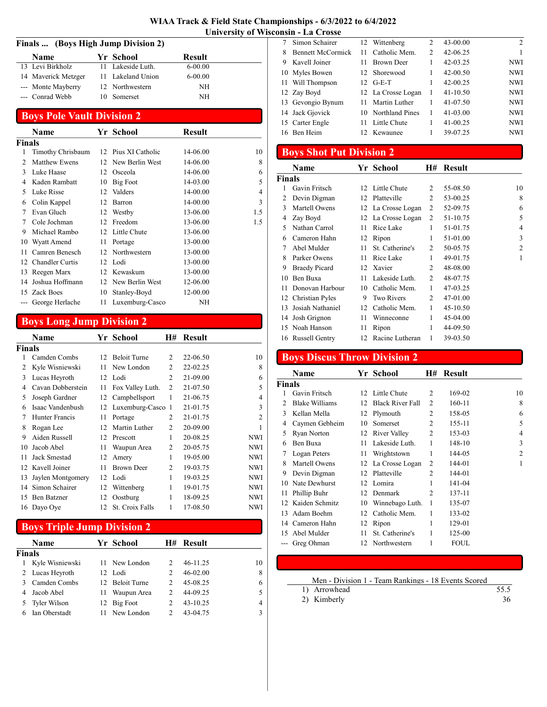| WIAA Track & Field State Championships - 6/3/2022 to 6/4/2022 |  |
|---------------------------------------------------------------|--|
| <b>University of Wisconsin - La Crosse</b>                    |  |

### Finals ... (Boys High Jump Division 2)

| <b>Name</b>         | Yr School         | <b>Result</b> |  |
|---------------------|-------------------|---------------|--|
| 13 Levi Birkholz    | 11 Lakeside Luth. | $6 - 00.00$   |  |
| 14 Maverick Metzger | 11 Lakeland Union | $6 - 00.00$   |  |
| --- Monte Mayberry  | 12 Northwestern   | NH            |  |
| --- Conrad Webb     | 10 Somerset       | NH            |  |

# Boys Pole Vault Division 2

|               | Name                 |    | Yr School           | Result   |     |
|---------------|----------------------|----|---------------------|----------|-----|
| <b>Finals</b> |                      |    |                     |          |     |
|               | Timothy Chrisbaum    |    | 12 Pius XI Catholic | 14-06.00 | 10  |
| 2             | <b>Matthew Ewens</b> |    | 12 New Berlin West  | 14-06.00 | 8   |
| 3             | Luke Haase           | 12 | Osceola             | 14-06.00 | 6   |
| 4             | Kaden Rambatt        | 10 | Big Foot            | 14-03.00 | 5   |
| 5             | Luke Risse           | 12 | Valders             | 14-00.00 | 4   |
| 6             | Colin Kappel         | 12 | Barron              | 14-00.00 | 3   |
| 7             | Evan Gluch           | 12 | Westby              | 13-06.00 | 1.5 |
| 7             | Cole Jochman         | 12 | Freedom             | 13-06.00 | 1.5 |
| 9             | Michael Rambo        | 12 | Little Chute        | 13-06.00 |     |
| 10            | Wyatt Amend          | 11 | Portage             | 13-00.00 |     |
| 11            | Camren Benesch       | 12 | Northwestern        | 13-00.00 |     |
|               | 12 Chandler Curtis   | 12 | Lodi                | 13-00.00 |     |
| 13            | Reegen Marx          | 12 | Kewaskum            | 13-00.00 |     |
| 14            | Joshua Hoffmann      | 12 | New Berlin West     | 12-06.00 |     |
|               | 15 Zack Boes         | 10 | Stanley-Boyd        | 12-00.00 |     |
| $---$         | George Herlache      | 11 | Luxemburg-Casco     | NH       |     |

# Boys Long Jump Division 2

|               | Name               |    | Yr School           | H#             | Result   |                |
|---------------|--------------------|----|---------------------|----------------|----------|----------------|
| <b>Finals</b> |                    |    |                     |                |          |                |
|               | Camden Combs       | 12 | <b>Beloit Turne</b> | $\mathcal{L}$  | 22-06.50 | 10             |
| 2             | Kyle Wisniewski    | 11 | New London          | $\mathfrak{D}$ | 22-02.25 | 8              |
| 3             | Lucas Heyroth      | 12 | Lodi                | 2              | 21-09.00 | 6              |
| 4             | Cavan Dobberstein  | 11 | Fox Valley Luth.    | $\overline{c}$ | 21-07.50 | 5              |
| 5             | Joseph Gardner     | 12 | Campbellsport       | 1              | 21-06.75 | 4              |
| 6             | Isaac Vandenbush   | 12 | Luxemburg-Casco     | -1             | 21-01.75 | 3              |
| 7             | Hunter Francis     | 11 | Portage             | 2              | 21-01.75 | $\overline{2}$ |
| 8             | Rogan Lee          | 12 | Martin Luther       | 2              | 20-09.00 |                |
| 9             | Aiden Russell      | 12 | Prescott            | 1              | 20-08.25 | <b>NWI</b>     |
| 10            | Jacob Abel         | 11 | Waupun Area         | 2              | 20-05.75 | <b>NWI</b>     |
| 11            | Jack Smestad       | 12 | Amery               | 1              | 19-05.00 | <b>NWI</b>     |
|               | 12 Kavell Joiner   | 11 | <b>Brown Deer</b>   | 2              | 19-03.75 | <b>NWI</b>     |
| 13            | Jaylen Montgomery  | 12 | Lodi                | 1              | 19-03.25 | <b>NWI</b>     |
| 14            | Simon Schairer     | 12 | Wittenberg          | 1              | 19-01.75 | <b>NWI</b>     |
| 15            | <b>Ben Batzner</b> | 12 | Oostburg            | 1              | 18-09.25 | <b>NWI</b>     |
| 16            | Dayo Oye           | 12 | St. Croix Falls     | 1              | 17-08.50 | <b>NWI</b>     |

# Boys Triple Jump Division 2

|        | <b>Name</b>     | Yr School       |               | H# Result    |    |
|--------|-----------------|-----------------|---------------|--------------|----|
| Finals |                 |                 |               |              |    |
|        | Kyle Wisniewski | 11 New London   |               | 46-11.25     | 10 |
|        | 2 Lucas Heyroth | 12 Lodi         | $\mathcal{L}$ | 46-02.00     | 8  |
|        | Camden Combs    | 12 Beloit Turne |               | 45-08.25     | 6  |
|        | Jacob Abel      | Waupun Area     | 2             | 44-09.25     |    |
|        | Tyler Wilson    | 12 Big Foot     | 2             | $43 - 10.25$ | 4  |
|        | Ian Oberstadt   | New London      |               | 43-04.75     |    |
|        |                 |                 |               |              |    |

|   | Simon Schairer           |    | 12 Wittenberg      | 2              | 43-00.00     | 2          |
|---|--------------------------|----|--------------------|----------------|--------------|------------|
| 8 | <b>Bennett McCormick</b> | 11 | Catholic Mem.      | $\overline{c}$ | 42-06.25     |            |
| 9 | Kavell Joiner            |    | <b>Brown Deer</b>  |                | 42-03.25     | NWI        |
|   | 10 Myles Bowen           |    | 12 Shorewood       | 1              | $42 - 00.50$ | NWI        |
|   | 11 Will Thompson         |    | $12$ G-E-T         | 1              | 42-00.25     | <b>NWI</b> |
|   | 12 Zay Boyd              |    | 12 La Crosse Logan | 1              | $41 - 10.50$ | NWI        |
|   | 13 Gevongio Bynum        |    | Martin Luther      | 1              | 41-07.50     | NWI        |
|   | 14 Jack Gjovick          |    | 10 Northland Pines | 1              | $41 - 03.00$ | <b>NWI</b> |
|   | 15 Carter Engle          | 11 | Little Chute       | 1              | 41-00.25     | NWI        |
|   | 16 Ben Heim              |    | 12 Kewaunee        |                | 39-07.25     | <b>NWI</b> |
|   |                          |    |                    |                |              |            |

# Boys Shot Put Division 2

|        | Name                 |    | Yr School          | H# | <b>Result</b> |                |
|--------|----------------------|----|--------------------|----|---------------|----------------|
| Finals |                      |    |                    |    |               |                |
| 1      | Gavin Fritsch        |    | 12 Little Chute    | 2  | 55-08.50      | 10             |
| 2      | Devin Digman         |    | 12 Platteville     | 2  | 53-00.25      | 8              |
| 3      | Martell Owens        |    | 12 La Crosse Logan | 2  | 52-09.75      | 6              |
| 4      | Zay Boyd             |    | 12 La Crosse Logan | 2  | 51-10.75      | 5              |
| 5      | Nathan Carrol        | 11 | Rice Lake          | 1  | 51-01.75      | 4              |
| 6      | Cameron Hahn         | 12 | Ripon              | 1  | 51-01.00      | 3              |
| 7      | Abel Mulder          | 11 | St. Catherine's    | 2  | 50-05.75      | $\overline{2}$ |
| 8      | Parker Owens         | 11 | Rice Lake          | 1  | 49-01.75      | 1              |
| 9      | <b>Braedy Picard</b> |    | 12 Xavier          | 2  | 48-08.00      |                |
| 10     | Ben Buxa             | 11 | Lakeside Luth.     | 2  | 48-07.75      |                |
| 11     | Donovan Harbour      | 10 | Catholic Mem.      | 1  | 47-03.25      |                |
|        | 12 Christian Pyles   | 9  | <b>Two Rivers</b>  | 2  | 47-01.00      |                |
| 13     | Josiah Nathaniel     | 12 | Catholic Mem.      | 1  | 45-10.50      |                |
| 14     | Josh Grignon         | 11 | Winneconne         | 1  | 45-04.00      |                |
| 15     | Noah Hanson          | 11 | Ripon              | 1  | 44-09.50      |                |
|        | 16 Russell Gentry    | 12 | Racine Lutheran    | 1  | 39-03.50      |                |

# Boys Discus Throw Division 2

|                | Name                  |    | Yr School               | H#             | <b>Result</b> |                |
|----------------|-----------------------|----|-------------------------|----------------|---------------|----------------|
| Finals         |                       |    |                         |                |               |                |
| 1              | Gavin Fritsch         | 12 | Little Chute            | $\overline{c}$ | 169-02        | 10             |
| $\mathfrak{D}$ | <b>Blake Williams</b> | 12 | <b>Black River Fall</b> | $\overline{2}$ | 160-11        | 8              |
| 3              | Kellan Mella          | 12 | Plymouth                | 2              | 158-05        | 6              |
| 4              | Caymen Gebheim        | 10 | Somerset                | 2              | 155-11        | 5              |
| 5              | Ryan Norton           | 12 | River Valley            | 2              | 153-03        | 4              |
| 6              | Ben Buxa              | 11 | Lakeside Luth.          | 1              | 148-10        | 3              |
| 7              | Logan Peters          | 11 | Wrightstown             | 1              | 144-05        | $\overline{c}$ |
| 8              | Martell Owens         | 12 | La Crosse Logan         | 2              | 144-01        | 1              |
| 9              | Devin Digman          | 12 | Platteville             | $\mathfrak{D}$ | 144-01        |                |
| 10             | Nate Dewhurst         | 12 | Lomira                  |                | 141-04        |                |
| 11             | Phillip Buhr          | 12 | Denmark                 | $\mathfrak{D}$ | 137-11        |                |
| 12             | Kaiden Schmitz        | 10 | Winnebago Luth.         | 1              | 135-07        |                |
| 13             | Adam Boehm            | 12 | Catholic Mem.           |                | 133-02        |                |
|                | 14 Cameron Hahn       | 12 | Ripon                   | 1              | 129-01        |                |
| 15             | Abel Mulder           | 11 | St. Catherine's         | 1              | 125-00        |                |
|                | Greg Ohman            | 12 | Northwestern            | 1              | <b>FOUL</b>   |                |

#### Men - Division 1 - Team Rankings - 18 Events Scored

- 1) Arrowhead 55.5<br>2) Kimberly 36
- 2) Kimberly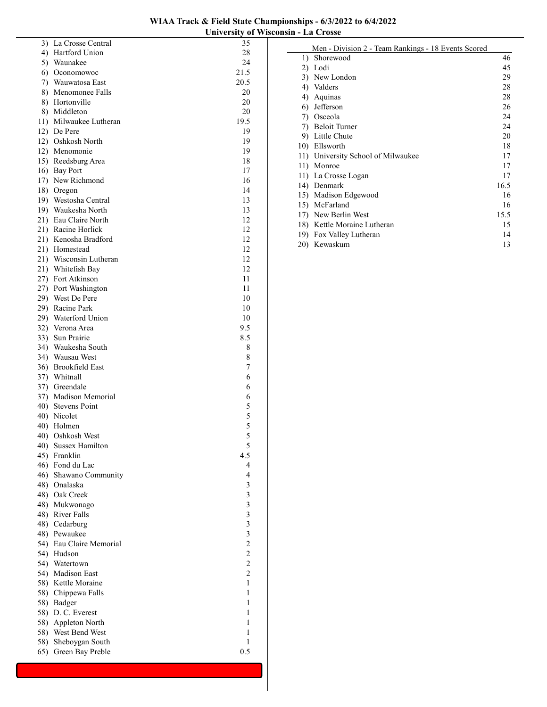| WIAA Track & Field State Championships - 6/3/2022 to 6/4/2022 |
|---------------------------------------------------------------|
| University of Wisconsin - La Crosse                           |

|     | 3) La Crosse Central               | 35                      |
|-----|------------------------------------|-------------------------|
|     | 4) Hartford Union                  | 28                      |
|     | 5) Waunakee                        | 24                      |
|     | 6) Oconomowoc                      | 21.5                    |
|     | 7) Wauwatosa East                  | 20.5                    |
|     | 8) Menomonee Falls                 | 20                      |
|     | 8) Hortonville                     | 20                      |
|     | 8) Middleton                       | 20                      |
|     | 11) Milwaukee Lutheran             | 19.5                    |
|     | 12) De Pere                        | 19                      |
|     | 12) Oshkosh North                  | 19                      |
|     | 12) Menomonie                      | 19                      |
|     | 15) Reedsburg Area                 | 18                      |
|     | 16) Bay Port                       | 17                      |
|     | 17) New Richmond                   | 16                      |
|     | 18) Oregon                         | 14                      |
|     | 19) Westosha Central               | 13                      |
|     | 19) Waukesha North                 | 13                      |
|     | 21) Eau Claire North               | 12                      |
|     | 21) Racine Horlick                 | 12                      |
|     | 21) Kenosha Bradford               | 12                      |
|     | 21) Homestead                      | 12                      |
|     | 21) Wisconsin Lutheran             | 12                      |
|     | 21) Whitefish Bay                  | 12                      |
|     | 27) Fort Atkinson                  | 11                      |
|     | 27) Port Washington                | 11                      |
|     | 29) West De Pere                   | 10                      |
|     | 29) Racine Park                    | 10<br>10                |
|     | 29) Waterford Union                |                         |
|     | 32) Verona Area<br>33) Sun Prairie | 9.5<br>8.5              |
|     | 34) Waukesha South                 | 8                       |
|     | 34) Wausau West                    | 8                       |
|     | 36) Brookfield East                | 7                       |
|     | 37) Whitnall                       | 6                       |
|     | 37) Greendale                      | 6                       |
|     | 37) Madison Memorial               | 6                       |
|     | 40) Stevens Point                  | 5                       |
|     | 40) Nicolet                        |                         |
|     | 40) Holmen                         | $\frac{5}{5}$           |
|     | 40) Oshkosh West                   | 5                       |
| 40) | Sussex Hamilton                    | 5                       |
| 45) | Franklin                           | 4.5                     |
|     | 46) Fond du Lac                    | $\overline{\mathbf{4}}$ |
|     | 46) Shawano Community              | 4                       |
|     | 48) Onalaska                       | 3                       |
| 48) | Oak Creek                          |                         |
|     | 48) Mukwonago                      |                         |
|     | 48) River Falls                    |                         |
|     | 48) Cedarburg                      |                         |
|     | 48) Pewaukee                       | 333322                  |
|     | 54) Eau Claire Memorial            |                         |
| 54) | Hudson                             |                         |
| 54) | Watertown                          | $\overline{\mathbf{c}}$ |
| 54) | Madison East                       | $\overline{c}$          |
|     | 58) Kettle Moraine                 | $\,1$                   |
|     | 58) Chippewa Falls                 | $\mathbf{1}$            |
| 58) | Badger                             | $\mathbf{1}$            |
| 58) | D. C. Everest                      | $\mathbf{1}$            |
| 58) | Appleton North                     | $\mathbf{1}$            |
| 58) | West Bend West                     | $\mathbf{1}$            |
| 58) | Sheboygan South                    | $\mathbf{1}$            |
| 65) | Green Bay Preble                   | 0.5                     |
|     |                                    |                         |

|     | Men - Division 2 - Team Rankings - 18 Events Scored |      |
|-----|-----------------------------------------------------|------|
| 1)  | Shorewood                                           | 46   |
| 2)  | Lodi                                                | 45   |
| 3)  | New London                                          | 29   |
| 4)  | Valders                                             | 28   |
| 4)  | Aquinas                                             | 28   |
| 6)  | Jefferson                                           | 26   |
| 7)  | Osceola                                             | 24   |
| 7)  | <b>Beloit Turner</b>                                | 24   |
| 9)  | Little Chute                                        | 20   |
| 10) | Ellsworth                                           | 18   |
|     | 11) University School of Milwaukee                  | 17   |
| 11) | Monroe                                              | 17   |
|     | 11) La Crosse Logan                                 | 17   |
| 14) | Denmark                                             | 16.5 |
| 15) | Madison Edgewood                                    | 16   |
| 15) | McFarland                                           | 16   |
|     | 17) New Berlin West                                 | 15.5 |
|     | 18) Kettle Moraine Lutheran                         | 15   |
| 19) | Fox Valley Lutheran                                 | 14   |
| 20) | Kewaskum                                            | 13   |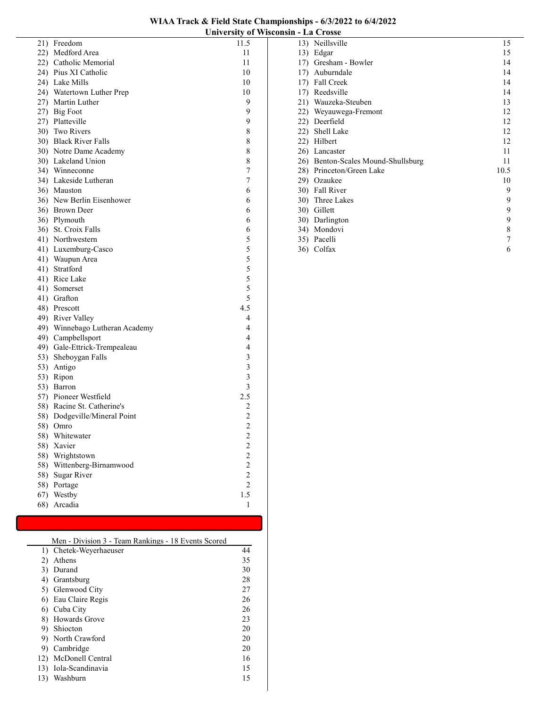|     | 21) Freedom                    | 11.5                                       |
|-----|--------------------------------|--------------------------------------------|
|     | 22) Medford Area               | 11                                         |
|     | 22) Catholic Memorial          | 11                                         |
|     | 24) Pius XI Catholic           | 10                                         |
|     | 24) Lake Mills                 | 10                                         |
|     | 24) Watertown Luther Prep      | 10                                         |
|     | 27) Martin Luther              | 9                                          |
|     | 27) Big Foot                   | 9                                          |
|     | 27) Platteville                | 9                                          |
|     | 30) Two Rivers                 | 8                                          |
|     | 30) Black River Falls          | 8                                          |
|     | 30) Notre Dame Academy         | 8                                          |
|     | 30) Lakeland Union             | 8                                          |
|     | 34) Winneconne                 | 7                                          |
|     | 34) Lakeside Lutheran          | 7                                          |
|     | 36) Mauston                    | 6                                          |
|     | 36) New Berlin Eisenhower      | 6                                          |
|     | 36) Brown Deer                 | 6                                          |
|     | 36) Plymouth                   | 6                                          |
|     | 36) St. Croix Falls            | 6                                          |
|     | 41) Northwestern               | 5                                          |
|     | 41) Luxemburg-Casco            | 5                                          |
|     | 41) Waupun Area                |                                            |
|     | 41) Stratford                  |                                            |
|     | 41) Rice Lake                  | $\begin{array}{c} 5 \\ 5 \\ 5 \end{array}$ |
|     | 41) Somerset                   | 5                                          |
|     | 41) Grafton                    | 5                                          |
|     | 48) Prescott                   | 4.5                                        |
|     | 49) River Valley               | 4                                          |
|     | 49) Winnebago Lutheran Academy | 4                                          |
|     | 49) Campbellsport              | $\overline{4}$                             |
|     | 49) Gale-Ettrick-Trempealeau   | $\overline{4}$                             |
|     | 53) Sheboygan Falls            | 3                                          |
|     | 53) Antigo                     | $\overline{\mathbf{3}}$                    |
|     | 53) Ripon                      | $\overline{\mathbf{3}}$                    |
|     | 53) Barron                     | $\overline{\mathbf{3}}$                    |
|     | 57) Pioneer Westfield          | 2.5                                        |
|     | 58) Racine St. Catherine's     | $\sqrt{2}$                                 |
|     | 58) Dodgeville/Mineral Point   | $\overline{c}$                             |
|     | 58) Omro                       | $\overline{c}$                             |
|     | 58) Whitewater                 | $\overline{\mathcal{L}}$                   |
| 58) | Xavier                         | $\overline{\mathbf{c}}$                    |
| 58) | Wrightstown                    |                                            |
| 58) | Wittenberg-Birnamwood          | $\frac{2}{2}$                              |
| 58) | <b>Sugar River</b>             | $\overline{c}$                             |
| 58) | Portage                        | $\overline{c}$                             |
| 67) | Westby                         | 1.5                                        |
| 68) | Arcadia                        | $\mathbf{1}$                               |
|     |                                |                                            |

| Men - Division 3 - Team Rankings - 18 Events Scored |                        |    |
|-----------------------------------------------------|------------------------|----|
|                                                     | 1) Chetek-Weyerhaeuser | 44 |
| 2)                                                  | Athens                 | 35 |
| 3)                                                  | Durand                 | 30 |
| 4)                                                  | Grantsburg             | 28 |
|                                                     | 5) Glenwood City       | 27 |
|                                                     | 6) Eau Claire Regis    | 26 |
|                                                     | 6) Cuba City           | 26 |
|                                                     | 8) Howards Grove       | 23 |
|                                                     | 9) Shiocton            | 20 |
|                                                     | 9) North Crawford      | 20 |
| 9).                                                 | Cambridge              | 20 |
|                                                     | 12) McDonell Central   | 16 |
|                                                     | 13) Iola-Scandinavia   | 15 |
| 13)                                                 | Washburn               | 15 |

|     | 13) Neillsville                    | 15   |
|-----|------------------------------------|------|
| 13) | Edgar                              | 15   |
|     | 17) Gresham - Bowler               | 14   |
| 17) | Auburndale                         | 14   |
|     | 17) Fall Creek                     | 14   |
|     | 17) Reedsville                     | 14   |
|     | 21) Wauzeka-Steuben                | 13   |
|     | 22) Weyauwega-Fremont              | 12   |
|     | 22) Deerfield                      | 12   |
| 22) | Shell Lake                         | 12   |
|     | 22) Hilbert                        | 12   |
|     | 26) Lancaster                      | 11   |
|     | 26) Benton-Scales Mound-Shullsburg | 11   |
|     | 28) Princeton/Green Lake           | 10.5 |
|     | 29) Ozaukee                        | 10   |
|     | 30) Fall River                     | 9    |
|     | 30) Three Lakes                    | 9    |
|     | 30) Gillett                        | 9    |
|     | 30) Darlington                     | 9    |
|     | 34) Mondovi                        | 8    |
|     | 35) Pacelli                        |      |
| 36) | Colfax                             | 6    |
|     |                                    |      |